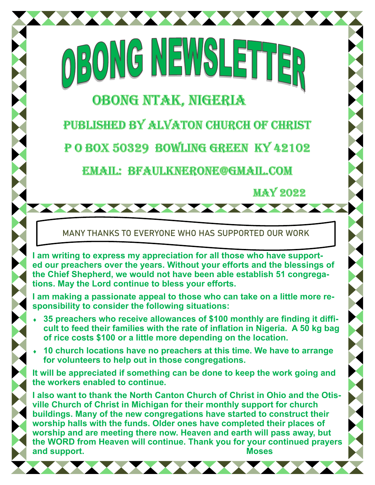# **OBONG NTAK, NIGERIA**

BONG NEWS

PUBLISHED BY ALVATON CHURCH OF CHRIST

POBOX 50329 BOWLING GREEN KY 42102

**EMAIL: BFAULKNERONE@GMAIL.COM** 

**MAY 2022** 

MANY THANKS TO EVERYONE WHO HAS SUPPORTED OUR WORK

**I am writing to express my appreciation for all those who have supported our preachers over the years. Without your efforts and the blessings of the Chief Shepherd, we would not have been able establish 51 congregations. May the Lord continue to bless your efforts.** 

**I am making a passionate appeal to those who can take on a little more responsibility to consider the following situations:** 

- **35 preachers who receive allowances of \$100 monthly are finding it difficult to feed their families with the rate of inflation in Nigeria. A 50 kg bag of rice costs \$100 or a little more depending on the location.**
- **10 church locations have no preachers at this time. We have to arrange for volunteers to help out in those congregations.**

**It will be appreciated if something can be done to keep the work going and the workers enabled to continue.** 

**I also want to thank the North Canton Church of Christ in Ohio and the Otisville Church of Christ in Michigan for their monthly support for church buildings. Many of the new congregations have started to construct their worship halls with the funds. Older ones have completed their places of worship and are meeting there now. Heaven and earth will pass away, but the WORD from Heaven will continue. Thank you for your continued prayers and support. Moses**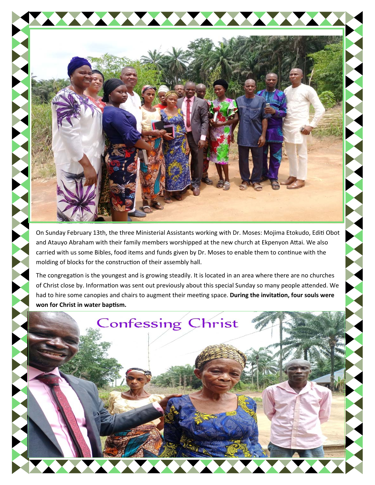

On Sunday February 13th, the three Ministerial Assistants working with Dr. Moses: Mojima Etokudo, Editi Obot and Atauyo Abraham with their family members worshipped at the new church at Ekpenyon Attai. We also carried with us some Bibles, food items and funds given by Dr. Moses to enable them to continue with the molding of blocks for the construction of their assembly hall.

The congregation is the youngest and is growing steadily. It is located in an area where there are no churches of Christ close by. Information was sent out previously about this special Sunday so many people attended. We had to hire some canopies and chairs to augment their meeting space. During the invitation, four souls were **won for Christ in water bapƟsm.** 

**Confessing Christ**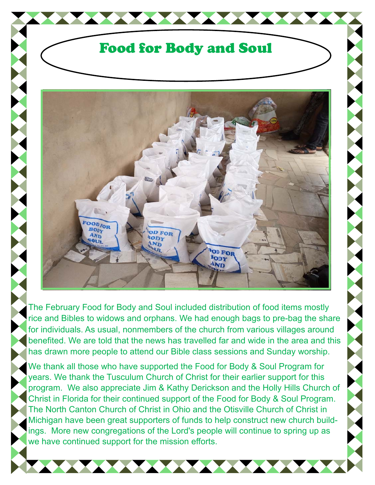## Food for Body and Soul



The February Food for Body and Soul included distribution of food items mostly rice and Bibles to widows and orphans. We had enough bags to pre-bag the share for individuals. As usual, nonmembers of the church from various villages around benefited. We are told that the news has travelled far and wide in the area and this has drawn more people to attend our Bible class sessions and Sunday worship.

We thank all those who have supported the Food for Body & Soul Program for years. We thank the Tusculum Church of Christ for their earlier support for this program. We also appreciate Jim & Kathy Derickson and the Holly Hills Church of Christ in Florida for their continued support of the Food for Body & Soul Program. The North Canton Church of Christ in Ohio and the Otisville Church of Christ in Michigan have been great supporters of funds to help construct new church buildings. More new congregations of the Lord's people will continue to spring up as we have continued support for the mission efforts.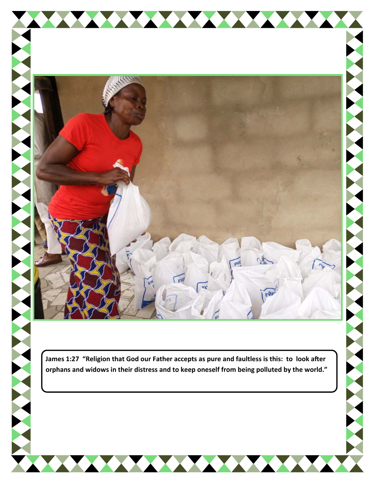



THE RESIDENCE OF PERSONS

**TAXAMINA** 

THE RESIDENCE OF PERSONS

NATIONAL PROPERTY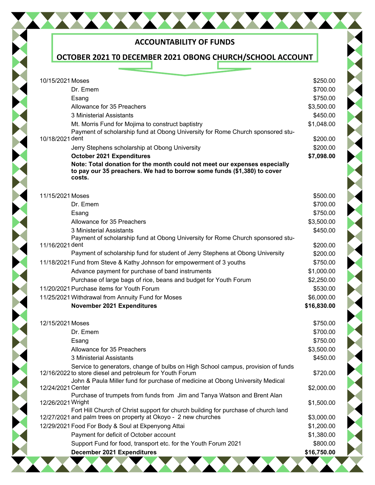| <b>ACCOUNTABILITY OF FUNDS</b>                                                                                                                                 |             |
|----------------------------------------------------------------------------------------------------------------------------------------------------------------|-------------|
| OCTOBER 2021 TO DECEMBER 2021 OBONG CHURCH/SCHOOL ACCOUNT                                                                                                      |             |
|                                                                                                                                                                |             |
| 10/15/2021 Moses                                                                                                                                               | \$250.00    |
| Dr. Emem                                                                                                                                                       | \$700.00    |
| Esang                                                                                                                                                          | \$750.00    |
| Allowance for 35 Preachers                                                                                                                                     | \$3,500.00  |
| 3 Ministerial Assistants                                                                                                                                       | \$450.00    |
| Mt. Morris Fund for Mojima to construct baptistry                                                                                                              | \$1,048.00  |
| Payment of scholarship fund at Obong University for Rome Church sponsored stu-                                                                                 |             |
| 10/18/2021 dent                                                                                                                                                | \$200.00    |
| Jerry Stephens scholarship at Obong University                                                                                                                 | \$200.00    |
| <b>October 2021 Expenditures</b>                                                                                                                               | \$7,098.00  |
| Note: Total donation for the month could not meet our expenses especially<br>to pay our 35 preachers. We had to borrow some funds (\$1,380) to cover<br>costs. |             |
| 11/15/2021 Moses                                                                                                                                               | \$500.00    |
| Dr. Emem                                                                                                                                                       | \$700.00    |
| Esang                                                                                                                                                          | \$750.00    |
| Allowance for 35 Preachers                                                                                                                                     | \$3,500.00  |
| 3 Ministerial Assistants                                                                                                                                       | \$450.00    |
| Payment of scholarship fund at Obong University for Rome Church sponsored stu-                                                                                 |             |
| 11/16/2021 dent                                                                                                                                                | \$200.00    |
| Payment of scholarship fund for student of Jerry Stephens at Obong University                                                                                  | \$200.00    |
| 11/18/2021 Fund from Steve & Kathy Johnson for empowerment of 3 youths                                                                                         | \$750.00    |
| Advance payment for purchase of band instruments                                                                                                               | \$1,000.00  |
| Purchase of large bags of rice, beans and budget for Youth Forum                                                                                               | \$2,250.00  |
| 11/20/2021 Purchase items for Youth Forum                                                                                                                      | \$530.00    |
| 11/25/2021 Withdrawal from Annuity Fund for Moses                                                                                                              | \$6,000.00  |
| November 2021 Expenditures                                                                                                                                     | \$16,830.00 |
| 12/15/2021 Moses                                                                                                                                               | \$750.00    |
| Dr. Emem                                                                                                                                                       | \$700.00    |
| Esang                                                                                                                                                          | \$750.00    |
| Allowance for 35 Preachers                                                                                                                                     | \$3,500.00  |
| 3 Ministerial Assistants                                                                                                                                       | \$450.00    |
| Service to generators, change of bulbs on High School campus, provision of funds                                                                               |             |
| 12/16/2022 to store diesel and petroleum for Youth Forum                                                                                                       | \$720.00    |
| John & Paula Miller fund for purchase of medicine at Obong University Medical                                                                                  |             |
| 12/24/2021 Center<br>Purchase of trumpets from funds from Jim and Tanya Watson and Brent Alan                                                                  | \$2,000.00  |
| 12/26/2021 Wright                                                                                                                                              | \$1,500.00  |
| Fort Hill Church of Christ support for church building for purchase of church land                                                                             |             |
| 12/27/2021 and palm trees on property at Okoyo - 2 new churches                                                                                                | \$3,000.00  |
| 12/29/2021 Food For Body & Soul at Ekpenyong Attai                                                                                                             | \$1,200.00  |
| Payment for deficit of October account                                                                                                                         | \$1,380.00  |
| Support Fund for food, transport etc. for the Youth Forum 2021                                                                                                 | \$800.00    |
| <b>December 2021 Expenditures</b>                                                                                                                              | \$16,750.00 |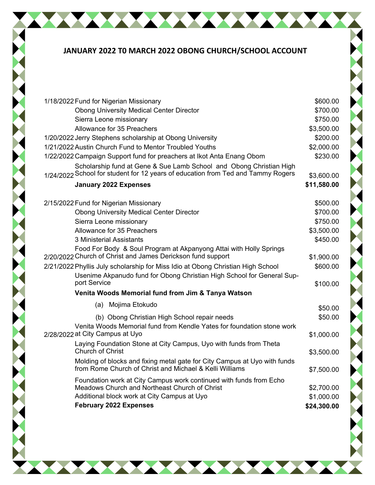### **JANUARY 2022 T0 MARCH 2022 OBONG CHURCH/SCHOOL ACCOUNT**

| 1/18/2022 Fund for Nigerian Missionary                                                       | \$600.00    |  |
|----------------------------------------------------------------------------------------------|-------------|--|
| <b>Obong University Medical Center Director</b>                                              | \$700.00    |  |
| Sierra Leone missionary                                                                      | \$750.00    |  |
| Allowance for 35 Preachers                                                                   | \$3,500.00  |  |
| 1/20/2022 Jerry Stephens scholarship at Obong University                                     | \$200.00    |  |
| 1/21/2022 Austin Church Fund to Mentor Troubled Youths                                       | \$2,000.00  |  |
| 1/22/2022 Campaign Support fund for preachers at Ikot Anta Enang Obom                        | \$230.00    |  |
| Scholarship fund at Gene & Sue Lamb School and Obong Christian High                          |             |  |
| 1/24/2022 School for student for 12 years of education from Ted and Tammy Rogers             | \$3,600.00  |  |
| <b>January 2022 Expenses</b>                                                                 | \$11,580.00 |  |
| 2/15/2022 Fund for Nigerian Missionary                                                       | \$500.00    |  |
| <b>Obong University Medical Center Director</b>                                              | \$700.00    |  |
| Sierra Leone missionary                                                                      | \$750.00    |  |
| Allowance for 35 Preachers                                                                   | \$3,500.00  |  |
| 3 Ministerial Assistants                                                                     | \$450.00    |  |
| Food For Body & Soul Program at Akpanyong Attai with Holly Springs                           |             |  |
| 2/20/2022 Church of Christ and James Derickson fund support                                  | \$1,900.00  |  |
| 2/21/2022 Phyllis July scholarship for Miss Idio at Obong Christian High School              | \$600.00    |  |
| Usenime Akpanudo fund for Obong Christian High School for General Sup-<br>port Service       |             |  |
|                                                                                              | \$100.00    |  |
| Venita Woods Memorial fund from Jim & Tanya Watson                                           |             |  |
| Mojima Etokudo<br>(a)                                                                        | \$50.00     |  |
| (b) Obong Christian High School repair needs                                                 | \$50.00     |  |
| Venita Woods Memorial fund from Kendle Yates for foundation stone work                       |             |  |
| 2/28/2022 at City Campus at Uyo                                                              | \$1,000.00  |  |
| Laying Foundation Stone at City Campus, Uyo with funds from Theta<br><b>Church of Christ</b> | \$3,500.00  |  |
| Molding of blocks and fixing metal gate for City Campus at Uyo with funds                    |             |  |
| from Rome Church of Christ and Michael & Kelli Williams                                      | \$7,500.00  |  |
| Foundation work at City Campus work continued with funds from Echo                           |             |  |
| Meadows Church and Northeast Church of Christ                                                | \$2,700.00  |  |
| Additional block work at City Campus at Uyo                                                  | \$1,000.00  |  |
| <b>February 2022 Expenses</b>                                                                | \$24,300.00 |  |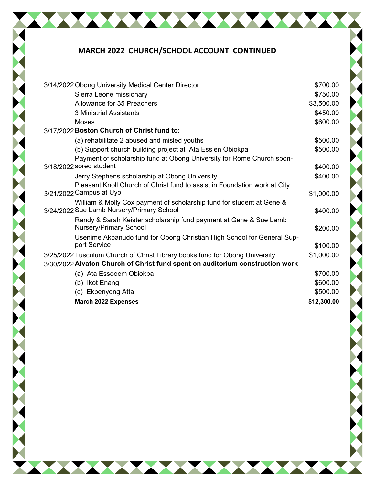### **MARCH 2022 CHURCH/SCHOOL ACCOUNT CONTINUED**

| 3/14/2022 Obong University Medical Center Director                                                                 | \$700.00    |
|--------------------------------------------------------------------------------------------------------------------|-------------|
| Sierra Leone missionary                                                                                            | \$750.00    |
| Allowance for 35 Preachers                                                                                         | \$3,500.00  |
| 3 Ministrial Assistants                                                                                            | \$450.00    |
| <b>Moses</b>                                                                                                       | \$600.00    |
| 3/17/2022 Boston Church of Christ fund to:                                                                         |             |
| (a) rehabilitate 2 abused and misled youths                                                                        | \$500.00    |
| (b) Support church building project at Ata Essien Obiokpa                                                          | \$500.00    |
| Payment of scholarship fund at Obong University for Rome Church spon-                                              |             |
| 3/18/2022 sored student                                                                                            | \$400.00    |
| Jerry Stephens scholarship at Obong University                                                                     | \$400.00    |
| Pleasant Knoll Church of Christ fund to assist in Foundation work at City                                          |             |
| 3/21/2022 Campus at Uyo                                                                                            | \$1,000.00  |
| William & Molly Cox payment of scholarship fund for student at Gene &<br>3/24/2022 Sue Lamb Nursery/Primary School | \$400.00    |
| Randy & Sarah Keister scholarship fund payment at Gene & Sue Lamb                                                  |             |
| <b>Nursery/Primary School</b>                                                                                      | \$200.00    |
| Usenime Akpanudo fund for Obong Christian High School for General Sup-                                             |             |
| port Service                                                                                                       | \$100.00    |
| 3/25/2022 Tusculum Church of Christ Library books fund for Obong University                                        | \$1,000.00  |
| 3/30/2022 Alvaton Church of Christ fund spent on auditorium construction work                                      |             |
| (a) Ata Essooem Obiokpa                                                                                            | \$700.00    |
| (b) Ikot Enang                                                                                                     | \$600.00    |
| (c) Ekpenyong Atta                                                                                                 | \$500.00    |
| <b>March 2022 Expenses</b>                                                                                         | \$12,300.00 |